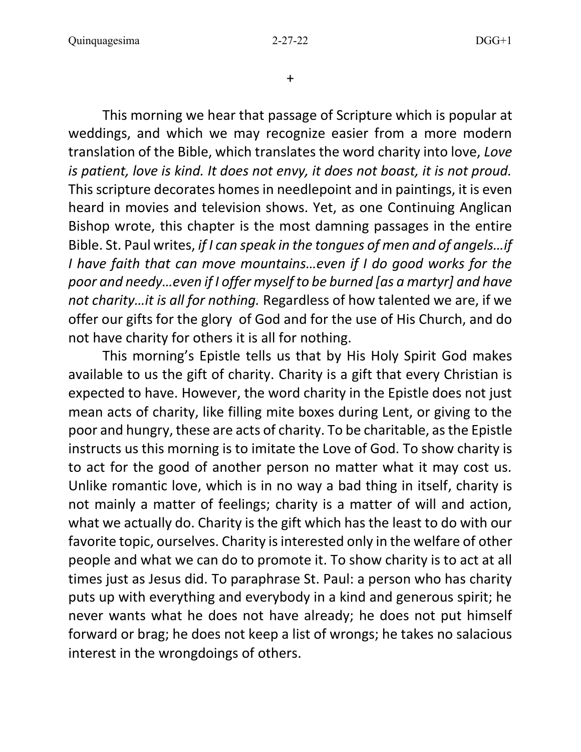+

This morning we hear that passage of Scripture which is popular at weddings, and which we may recognize easier from a more modern translation of the Bible, which translates the word charity into love, *Love is patient, love is kind. It does not envy, it does not boast, it is not proud.*  This scripture decorates homes in needlepoint and in paintings, it is even heard in movies and television shows. Yet, as one Continuing Anglican Bishop wrote, this chapter is the most damning passages in the entire Bible. St. Paul writes, *if I can speak in the tongues of men and of angels…if I have faith that can move mountains…even if I do good works for the poor and needy…even if I offer myself to be burned [as a martyr] and have not charity…it is all for nothing.* Regardless of how talented we are, if we offer our gifts for the glory of God and for the use of His Church, and do not have charity for others it is all for nothing.

This morning's Epistle tells us that by His Holy Spirit God makes available to us the gift of charity. Charity is a gift that every Christian is expected to have. However, the word charity in the Epistle does not just mean acts of charity, like filling mite boxes during Lent, or giving to the poor and hungry, these are acts of charity. To be charitable, as the Epistle instructs us this morning is to imitate the Love of God. To show charity is to act for the good of another person no matter what it may cost us. Unlike romantic love, which is in no way a bad thing in itself, charity is not mainly a matter of feelings; charity is a matter of will and action, what we actually do. Charity is the gift which has the least to do with our favorite topic, ourselves. Charity is interested only in the welfare of other people and what we can do to promote it. To show charity is to act at all times just as Jesus did. To paraphrase St. Paul: a person who has charity puts up with everything and everybody in a kind and generous spirit; he never wants what he does not have already; he does not put himself forward or brag; he does not keep a list of wrongs; he takes no salacious interest in the wrongdoings of others.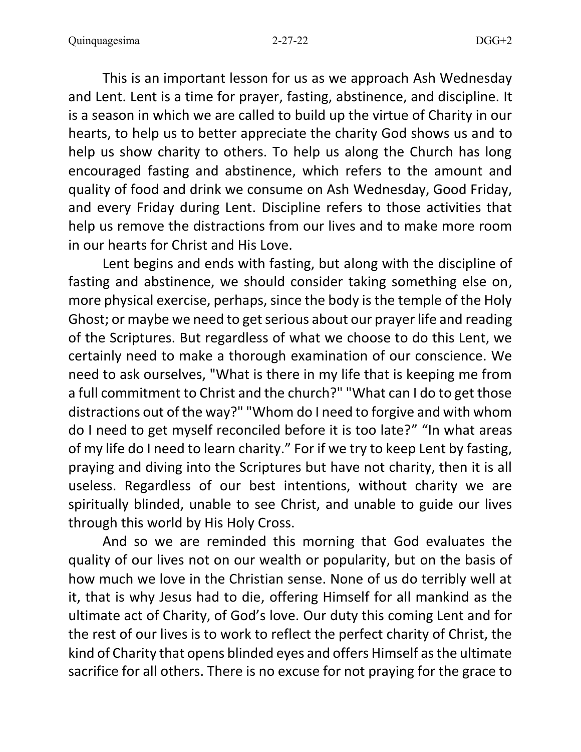This is an important lesson for us as we approach Ash Wednesday and Lent. Lent is a time for prayer, fasting, abstinence, and discipline. It is a season in which we are called to build up the virtue of Charity in our hearts, to help us to better appreciate the charity God shows us and to help us show charity to others. To help us along the Church has long encouraged fasting and abstinence, which refers to the amount and quality of food and drink we consume on Ash Wednesday, Good Friday, and every Friday during Lent. Discipline refers to those activities that help us remove the distractions from our lives and to make more room in our hearts for Christ and His Love.

Lent begins and ends with fasting, but along with the discipline of fasting and abstinence, we should consider taking something else on, more physical exercise, perhaps, since the body is the temple of the Holy Ghost; or maybe we need to get serious about our prayer life and reading of the Scriptures. But regardless of what we choose to do this Lent, we certainly need to make a thorough examination of our conscience. We need to ask ourselves, "What is there in my life that is keeping me from a full commitment to Christ and the church?" "What can I do to get those distractions out of the way?" "Whom do I need to forgive and with whom do I need to get myself reconciled before it is too late?" "In what areas of my life do I need to learn charity." For if we try to keep Lent by fasting, praying and diving into the Scriptures but have not charity, then it is all useless. Regardless of our best intentions, without charity we are spiritually blinded, unable to see Christ, and unable to guide our lives through this world by His Holy Cross.

And so we are reminded this morning that God evaluates the quality of our lives not on our wealth or popularity, but on the basis of how much we love in the Christian sense. None of us do terribly well at it, that is why Jesus had to die, offering Himself for all mankind as the ultimate act of Charity, of God's love. Our duty this coming Lent and for the rest of our lives is to work to reflect the perfect charity of Christ, the kind of Charity that opens blinded eyes and offers Himself as the ultimate sacrifice for all others. There is no excuse for not praying for the grace to